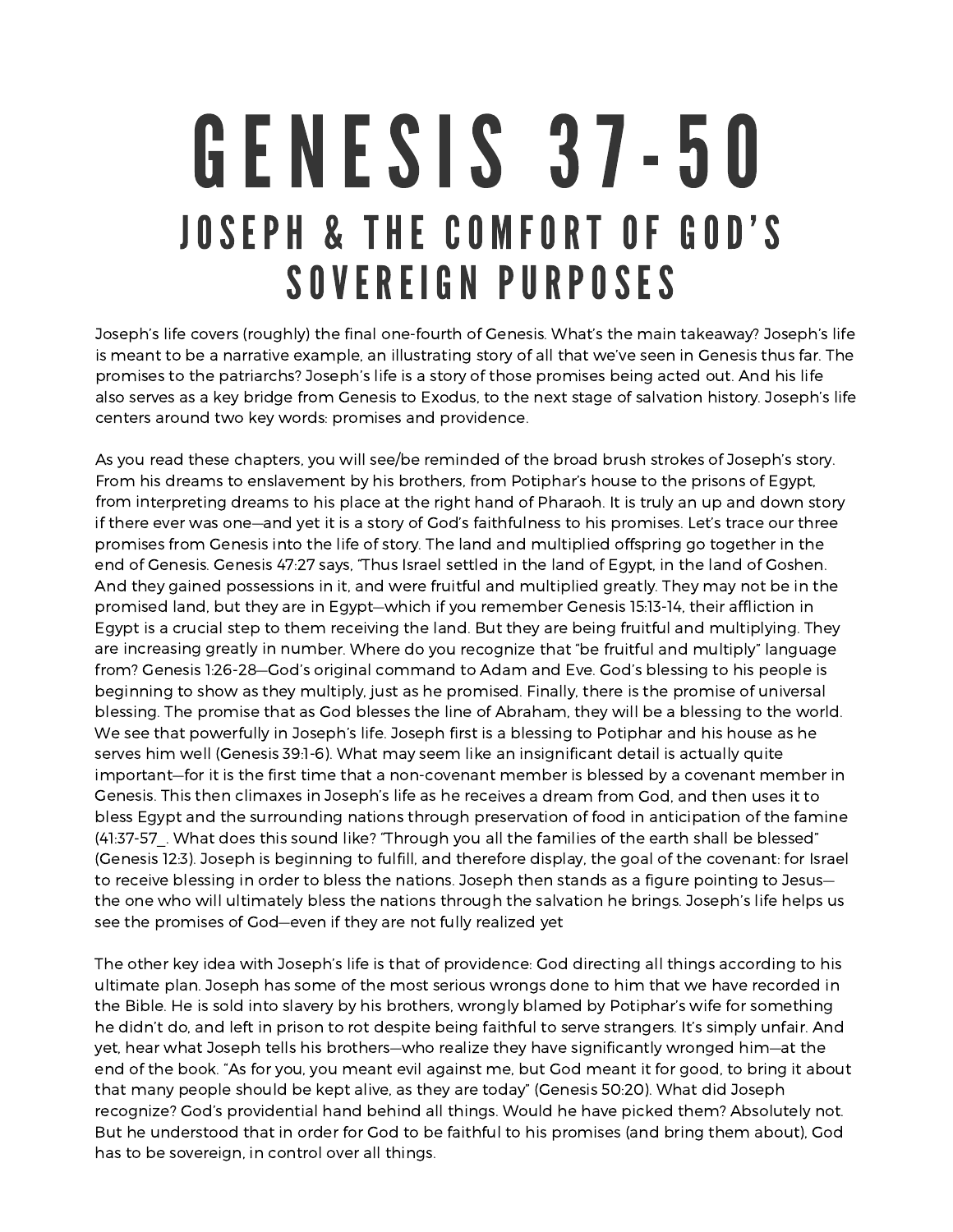## GENESIS 37 -50 JOSEPH & THE COMFORT OF GOD'S SOVEREIGN PURPOSES

Joseph's life covers (roughly) the final one-fourth of Genesis. What's the main takeaway? Joseph's life is meant to be <sup>a</sup> narrative example, an illustrating story of all that we've seen in Genesis thus far. The promises to the patriarchs? Joseph's life is <sup>a</sup> story of those promises being acted out. And his life also serves as <sup>a</sup> key bridge from Genesis to Exodus, to the next stage of salvation history. Joseph's life centers around two key words: promises and providence.

As you read these chapters, you will see/be reminded of the broad brush strokes of Joseph's story. From his dreams to enslavement by his brothers, from Potiphar's house to the prisons of Egypt, from interpreting dreams to his place at the right hand of Pharaoh. It is truly an up and down story if there ever was one—and yet it is <sup>a</sup> story of God's faithfulness to his promises. Let's trace our three promises from Genesis into the life of story. The land and multiplied offspring go together in the end of Genesis. Genesis 47:27 says, "Thus Israel settled in the land of Egypt, in the land of Goshen. And they gained possessions in it, and were fruitful and multiplied greatly. They may not be in the promised land, but they are in Egypt—which if you remember Genesis 15:13-14, their affliction in Egypt is <sup>a</sup> crucial step to them receiving the land. But they are being fruitful and multiplying. They are increasing greatly in number. Where do you recognize that "be fruitful and multiply" language from? Genesis 1:26-28—God's original command to Adam and Eve. God's blessing to his people is beginning to show as they multiply, just as he promised. Finally, there is the promise of universal blessing. The promise that as God blesses the line of Abraham, they will be <sup>a</sup> blessing to the world. We see that powerfully in Joseph's life. Joseph first is <sup>a</sup> blessing to Potiphar and his house as he serves him well (Genesis 39:1-6). What may seem like an insignificant detail is actually quite important—for it is the first time that <sup>a</sup> non-covenant member is blessed by <sup>a</sup> covenant member in Genesis. This then climaxes in Joseph's life as he receives <sup>a</sup> dream from God, and then uses it to bless Egypt and the surrounding nations through preservation of food in anticipation of the famine (41:37-57. What does this sound like? "Through you all the families of the earth shall be blessed" (Genesis 12:3). Joseph is beginning to fulfill, and therefore display, the goal of the covenant: for Israel to receive blessing in order to bless the nations. Joseph then stands as <sup>a</sup> figure pointing to Jesus the one who will ultimately bless the nations through the salvation he brings. Joseph's life helps us see the promises of God—even if they are not fully realized yet

The other key idea with Joseph's life is that of providence: God directing all things according to his ultimate plan. Joseph has some of the most serious wrongs done to him that we have recorded in the Bible. He is sold into slavery by his brothers, wrongly blamed by Potiphar's wife for something he didn't do, and left in prison to rot despite being faithful to serve strangers. It's simply unfair. And yet, hear what Joseph tells his brothers—who realize they have significantly wronged him—at the end of the book. "As for you, you meant evil against me, but God meant it for good, to bring it about that many people should be kept alive, as they are today" (Genesis 50:20). What did Joseph recognize? God's providential hand behind all things. Would he have picked them? Absolutely not. But he understood that in order for God to be faithful to his promises (and bring them about), God has to be sovereign, in control over all things.